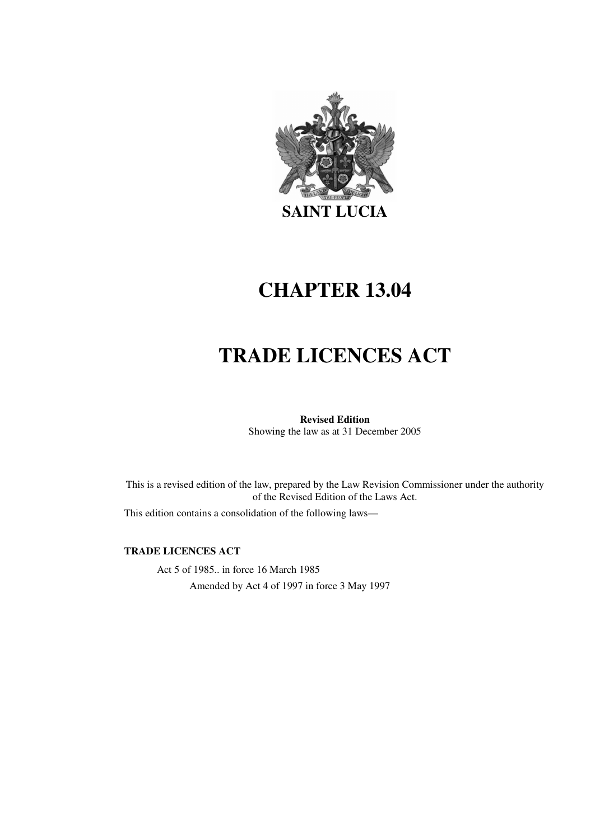

# **CHAPTER 13.04**

# **TRADE LICENCES ACT**

# **Revised Edition**

Showing the law as at 31 December 2005

This is a revised edition of the law, prepared by the Law Revision Commissioner under the authority of the Revised Edition of the Laws Act.

This edition contains a consolidation of the following laws—

#### **TRADE LICENCES ACT**

Act 5 of 1985.. in force 16 March 1985 Amended by Act 4 of 1997 in force 3 May 1997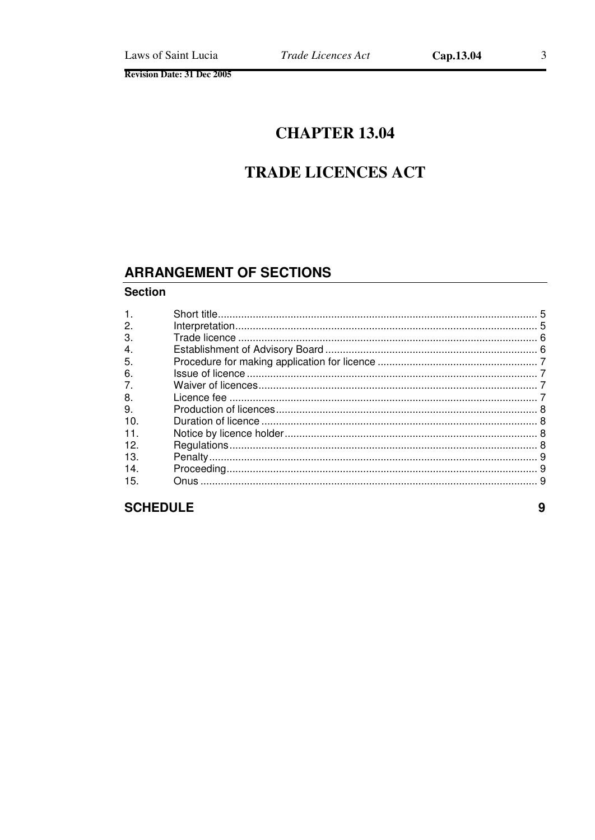# **CHAPTER 13.04**

# **TRADE LICENCES ACT**

# **ARRANGEMENT OF SECTIONS**

#### **Section**

| 1.  |  |
|-----|--|
| 2.  |  |
| 3.  |  |
| 4.  |  |
| 5.  |  |
| 6.  |  |
| 7.  |  |
| 8.  |  |
| 9.  |  |
| 10. |  |
| 11. |  |
| 12. |  |
| 13. |  |
| 14. |  |
| 15. |  |
|     |  |

# **SCHEDULE**

9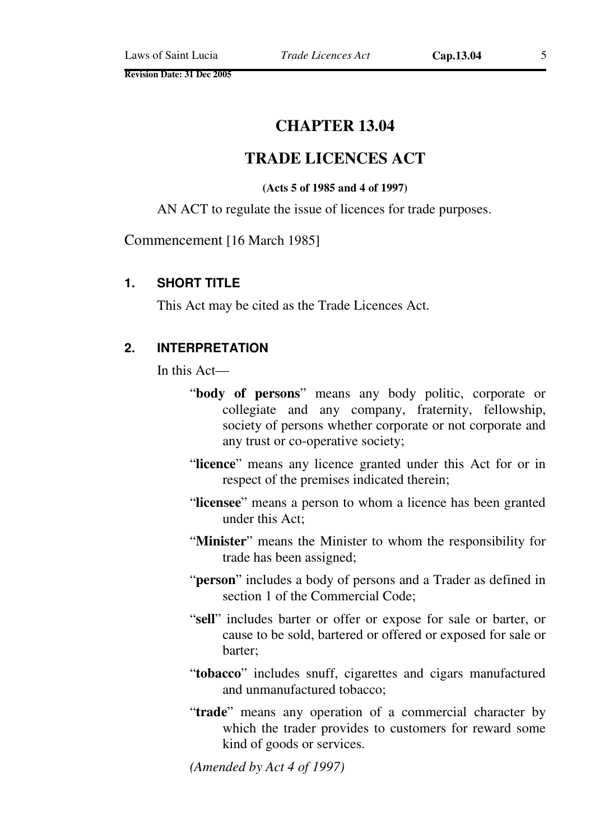**Revision Date: 31 Dec 2005** 

# **CHAPTER 13.04**

# **TRADE LICENCES ACT**

#### **(Acts 5 of 1985 and 4 of 1997)**

AN ACT to regulate the issue of licences for trade purposes.

Commencement [16 March 1985]

#### **1. SHORT TITLE**

This Act may be cited as the Trade Licences Act.

#### **2. INTERPRETATION**

In this Act—

- "**body of persons**" means any body politic, corporate or collegiate and any company, fraternity, fellowship, society of persons whether corporate or not corporate and any trust or co-operative society;
- "**licence**" means any licence granted under this Act for or in respect of the premises indicated therein;
- "**licensee**" means a person to whom a licence has been granted under this Act;
- "**Minister**" means the Minister to whom the responsibility for trade has been assigned;
- "**person**" includes a body of persons and a Trader as defined in section 1 of the Commercial Code;
- "**sell**" includes barter or offer or expose for sale or barter, or cause to be sold, bartered or offered or exposed for sale or barter;
- "**tobacco**" includes snuff, cigarettes and cigars manufactured and unmanufactured tobacco;
- "**trade**" means any operation of a commercial character by which the trader provides to customers for reward some kind of goods or services.

*(Amended by Act 4 of 1997)*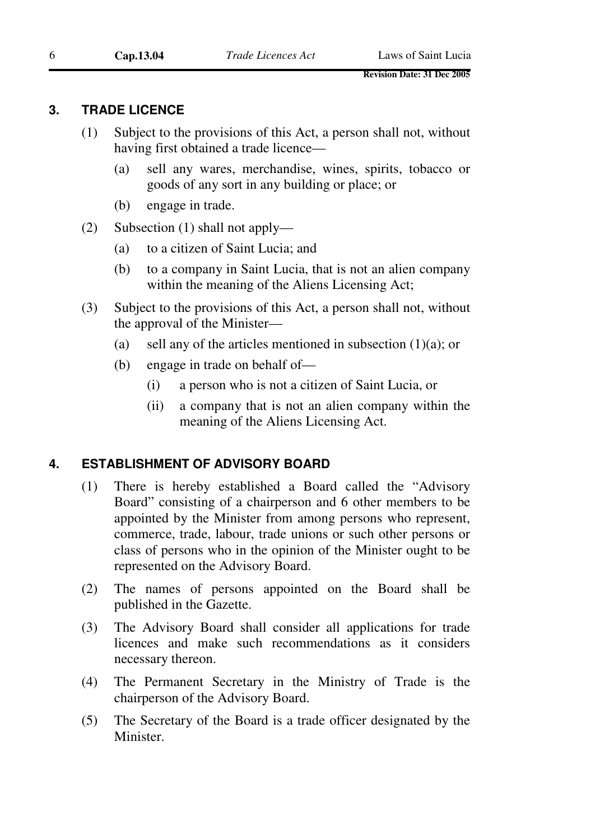#### **3. TRADE LICENCE**

- (1) Subject to the provisions of this Act, a person shall not, without having first obtained a trade licence—
	- (a) sell any wares, merchandise, wines, spirits, tobacco or goods of any sort in any building or place; or
	- (b) engage in trade.
- (2) Subsection (1) shall not apply—
	- (a) to a citizen of Saint Lucia; and
	- (b) to a company in Saint Lucia, that is not an alien company within the meaning of the Aliens Licensing Act;
- (3) Subject to the provisions of this Act, a person shall not, without the approval of the Minister—
	- (a) sell any of the articles mentioned in subsection  $(1)(a)$ ; or
	- (b) engage in trade on behalf of—
		- (i) a person who is not a citizen of Saint Lucia, or
		- (ii) a company that is not an alien company within the meaning of the Aliens Licensing Act.

#### **4. ESTABLISHMENT OF ADVISORY BOARD**

- (1) There is hereby established a Board called the "Advisory Board" consisting of a chairperson and 6 other members to be appointed by the Minister from among persons who represent, commerce, trade, labour, trade unions or such other persons or class of persons who in the opinion of the Minister ought to be represented on the Advisory Board.
- (2) The names of persons appointed on the Board shall be published in the Gazette.
- (3) The Advisory Board shall consider all applications for trade licences and make such recommendations as it considers necessary thereon.
- (4) The Permanent Secretary in the Ministry of Trade is the chairperson of the Advisory Board.
- (5) The Secretary of the Board is a trade officer designated by the Minister.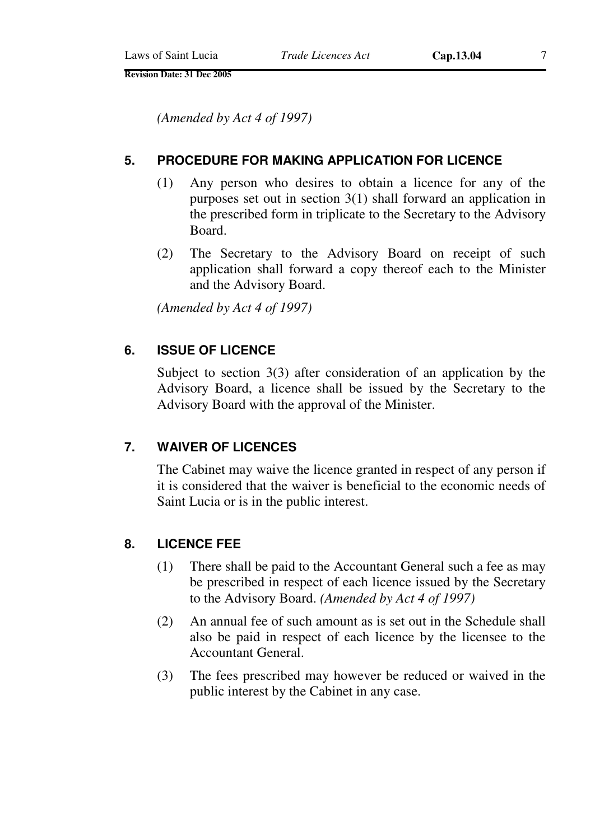**Revision Date: 31 Dec 2005** 

*(Amended by Act 4 of 1997)* 

#### **5. PROCEDURE FOR MAKING APPLICATION FOR LICENCE**

- (1) Any person who desires to obtain a licence for any of the purposes set out in section 3(1) shall forward an application in the prescribed form in triplicate to the Secretary to the Advisory Board.
- (2) The Secretary to the Advisory Board on receipt of such application shall forward a copy thereof each to the Minister and the Advisory Board.

*(Amended by Act 4 of 1997)* 

## **6. ISSUE OF LICENCE**

Subject to section 3(3) after consideration of an application by the Advisory Board, a licence shall be issued by the Secretary to the Advisory Board with the approval of the Minister.

#### **7. WAIVER OF LICENCES**

The Cabinet may waive the licence granted in respect of any person if it is considered that the waiver is beneficial to the economic needs of Saint Lucia or is in the public interest.

#### **8. LICENCE FEE**

- (1) There shall be paid to the Accountant General such a fee as may be prescribed in respect of each licence issued by the Secretary to the Advisory Board. *(Amended by Act 4 of 1997)*
- (2) An annual fee of such amount as is set out in the Schedule shall also be paid in respect of each licence by the licensee to the Accountant General.
- (3) The fees prescribed may however be reduced or waived in the public interest by the Cabinet in any case.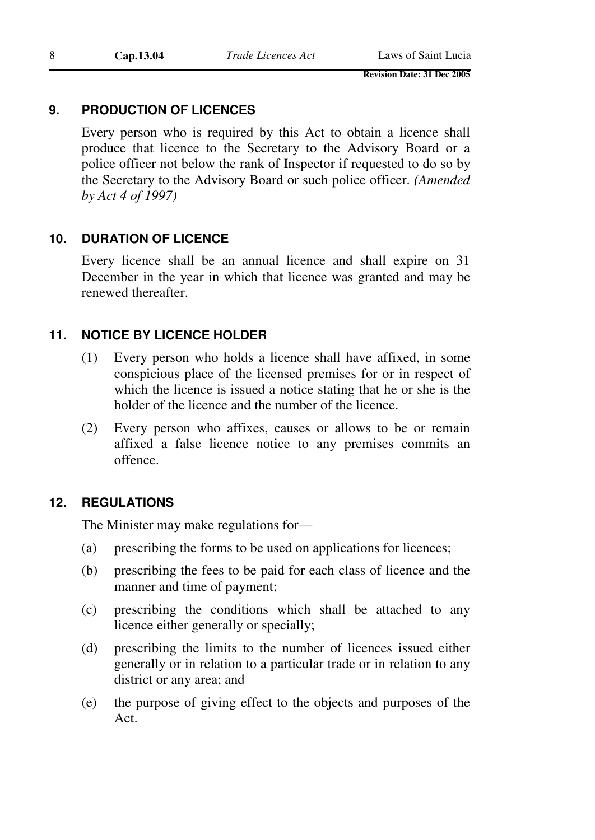## **9. PRODUCTION OF LICENCES**

Every person who is required by this Act to obtain a licence shall produce that licence to the Secretary to the Advisory Board or a police officer not below the rank of Inspector if requested to do so by the Secretary to the Advisory Board or such police officer. *(Amended by Act 4 of 1997)* 

## **10. DURATION OF LICENCE**

Every licence shall be an annual licence and shall expire on 31 December in the year in which that licence was granted and may be renewed thereafter.

## **11. NOTICE BY LICENCE HOLDER**

- (1) Every person who holds a licence shall have affixed, in some conspicious place of the licensed premises for or in respect of which the licence is issued a notice stating that he or she is the holder of the licence and the number of the licence.
- (2) Every person who affixes, causes or allows to be or remain affixed a false licence notice to any premises commits an offence.

#### **12. REGULATIONS**

The Minister may make regulations for—

- (a) prescribing the forms to be used on applications for licences;
- (b) prescribing the fees to be paid for each class of licence and the manner and time of payment;
- (c) prescribing the conditions which shall be attached to any licence either generally or specially;
- (d) prescribing the limits to the number of licences issued either generally or in relation to a particular trade or in relation to any district or any area; and
- (e) the purpose of giving effect to the objects and purposes of the Act.